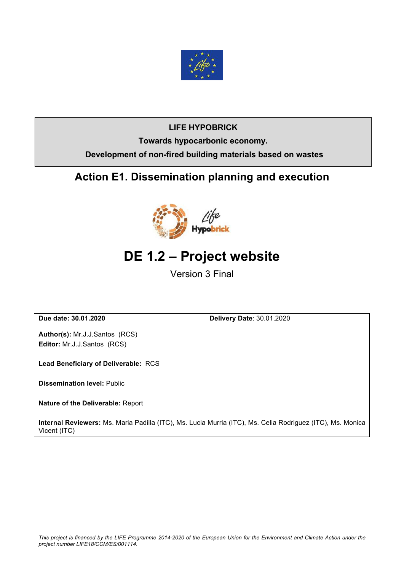

## **LIFE HYPOBRICK Towards hypocarbonic economy. Development of non-fired building materials based on wastes**

## **Action E1. Dissemination planning and execution**



## **DE 1.2 – Project website**

Version 3 Final

**Due date: 30.01.2020 Delivery Date**: 30.01.2020

**Author(s):** Mr.J.J.Santos (RCS) **Editor:** Mr.J.J.Santos (RCS)

**Lead Beneficiary of Deliverable:** RCS

**Dissemination level:** Public

**Nature of the Deliverable:** Report

**Internal Reviewers:** Ms. Maria Padilla (ITC), Ms. Lucia Murria (ITC), Ms. Celia Rodriguez (ITC), Ms. Monica Vicent (ITC)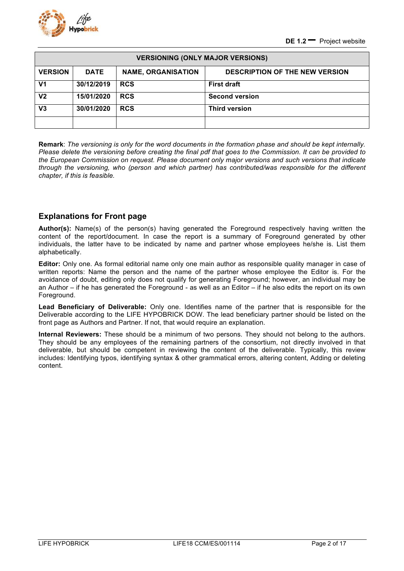

| <b>VERSIONING (ONLY MAJOR VERSIONS)</b> |             |                           |                                       |  |  |
|-----------------------------------------|-------------|---------------------------|---------------------------------------|--|--|
| <b>VERSION</b>                          | <b>DATE</b> | <b>NAME, ORGANISATION</b> | <b>DESCRIPTION OF THE NEW VERSION</b> |  |  |
| V <sub>1</sub>                          | 30/12/2019  | <b>RCS</b>                | <b>First draft</b>                    |  |  |
| V <sub>2</sub>                          | 15/01/2020  | <b>RCS</b>                | <b>Second version</b>                 |  |  |
| V <sub>3</sub>                          | 30/01/2020  | <b>RCS</b>                | <b>Third version</b>                  |  |  |
|                                         |             |                           |                                       |  |  |

**Remark**: *The versioning is only for the word documents in the formation phase and should be kept internally. Please delete the versioning before creating the final pdf that goes to the Commission. It can be provided to the European Commission on request. Please document only major versions and such versions that indicate through the versioning, who (person and which partner) has contributed/was responsible for the different chapter, if this is feasible.*

#### **Explanations for Front page**

**Author(s):** Name(s) of the person(s) having generated the Foreground respectively having written the content of the report/document. In case the report is a summary of Foreground generated by other individuals, the latter have to be indicated by name and partner whose employees he/she is. List them alphabetically.

**Editor:** Only one. As formal editorial name only one main author as responsible quality manager in case of written reports: Name the person and the name of the partner whose employee the Editor is. For the avoidance of doubt, editing only does not qualify for generating Foreground; however, an individual may be an Author – if he has generated the Foreground - as well as an Editor – if he also edits the report on its own Foreground.

**Lead Beneficiary of Deliverable:** Only one. Identifies name of the partner that is responsible for the Deliverable according to the LIFE HYPOBRICK DOW. The lead beneficiary partner should be listed on the front page as Authors and Partner. If not, that would require an explanation.

**Internal Reviewers:** These should be a minimum of two persons. They should not belong to the authors. They should be any employees of the remaining partners of the consortium, not directly involved in that deliverable, but should be competent in reviewing the content of the deliverable. Typically, this review includes: Identifying typos, identifying syntax & other grammatical errors, altering content, Adding or deleting content.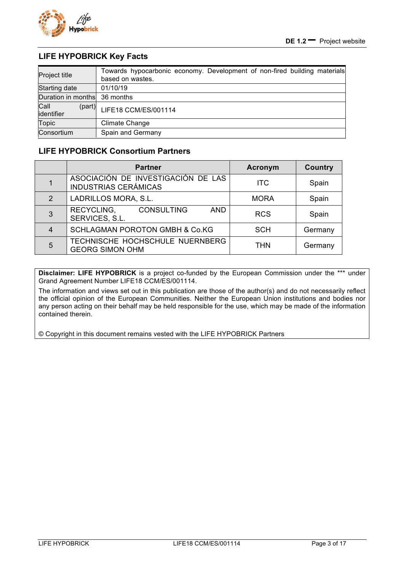

#### **LIFE HYPOBRICK Key Facts**

| Project title                | Towards hypocarbonic economy. Development of non-fired building materials<br>based on wastes. |
|------------------------------|-----------------------------------------------------------------------------------------------|
| Starting date                | 01/10/19                                                                                      |
| Duration in months 36 months |                                                                                               |
| Call<br>(part)<br>identifier | LIFE18 CCM/ES/001114                                                                          |
| <b>Topic</b>                 | Climate Change                                                                                |
| Consortium                   | Spain and Germany                                                                             |

#### **LIFE HYPOBRICK Consortium Partners**

|               | <b>Partner</b>                                                    | <b>Acronym</b> | <b>Country</b> |
|---------------|-------------------------------------------------------------------|----------------|----------------|
|               | ASOCIACIÓN DE INVESTIGACIÓN DE LAS<br><b>INDUSTRIAS CERÁMICAS</b> | <b>ITC</b>     | Spain          |
| $\mathcal{P}$ | LADRILLOS MORA, S.L.                                              | <b>MORA</b>    | Spain          |
| 3             | RECYCLING,<br><b>CONSULTING</b><br><b>AND</b><br>SERVICES, S.L.   | <b>RCS</b>     | Spain          |
| 4             | <b>SCHLAGMAN POROTON GMBH &amp; Co.KG</b>                         | <b>SCH</b>     | Germany        |
| 5             | TECHNISCHE HOCHSCHULE NUERNBERG<br><b>GEORG SIMON OHM</b>         | <b>THN</b>     | Germany        |

**Disclaimer: LIFE HYPOBRICK** is a project co-funded by the European Commission under the \*\*\* under Grand Agreement Number LIFE18 CCM/ES/001114.

The information and views set out in this publication are those of the author(s) and do not necessarily reflect the official opinion of the European Communities. Neither the European Union institutions and bodies nor any person acting on their behalf may be held responsible for the use, which may be made of the information contained therein.

© Copyright in this document remains vested with the LIFE HYPOBRICK Partners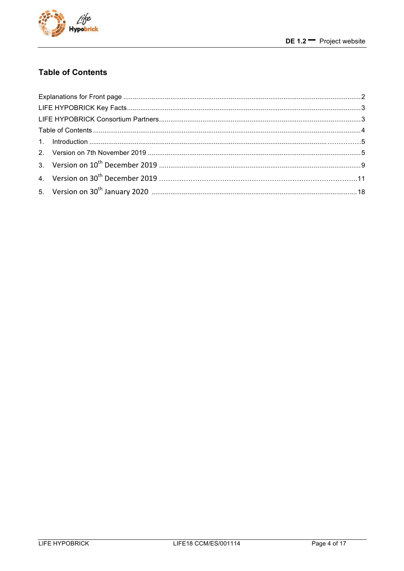

### **Table of Contents**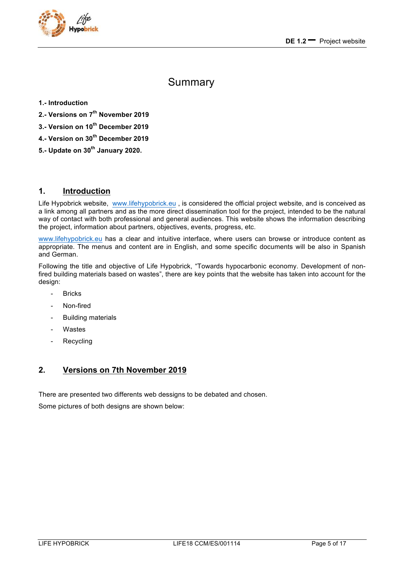

## Summary

#### **1.- Introduction**

- **2.- Versions on 7th November 2019**
- **3.- Version on 10th December 2019**
- **4.- Version on 30th December 2019**
- **5.- Update on 30th January 2020.**

#### **1. Introduction**

Life Hypobrick website, www.lifehypobrick.eu , is considered the official project website, and is conceived as a link among all partners and as the more direct dissemination tool for the project, intended to be the natural way of contact with both professional and general audiences. This website shows the information describing the project, information about partners, objectives, events, progress, etc.

www.lifehypobrick.eu has a clear and intuitive interface, where users can browse or introduce content as appropriate. The menus and content are in English, and some specific documents will be also in Spanish and German.

Following the title and objective of Life Hypobrick, "Towards hypocarbonic economy. Development of nonfired building materials based on wastes", there are key points that the website has taken into account for the design:

- **Bricks**
- Non-fired
- Building materials
- **Wastes**
- Recycling

#### **2. Versions on 7th November 2019**

There are presented two differents web dessigns to be debated and chosen.

Some pictures of both designs are shown below: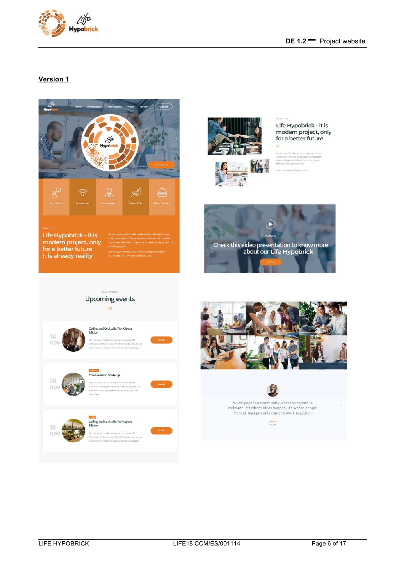

#### **Version 1**

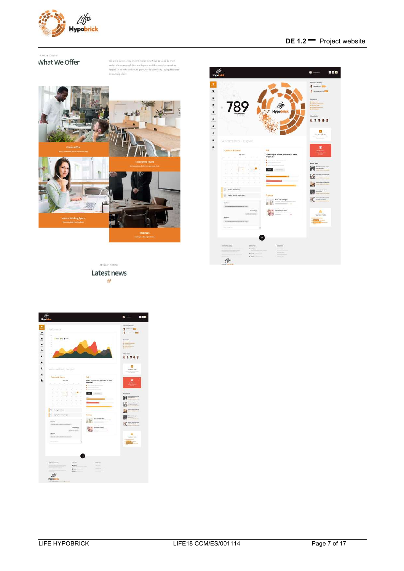

#### **DE 1.2 –** Project website

EALN AND GROW What We Offer

We are a community of build minds who have decided to work under the same real. Our workspace and the people amound as implies us to take attiny, to grow, in do better, by snaping that our cavolency paper.





HRESS AND MEDIA Latest news 中

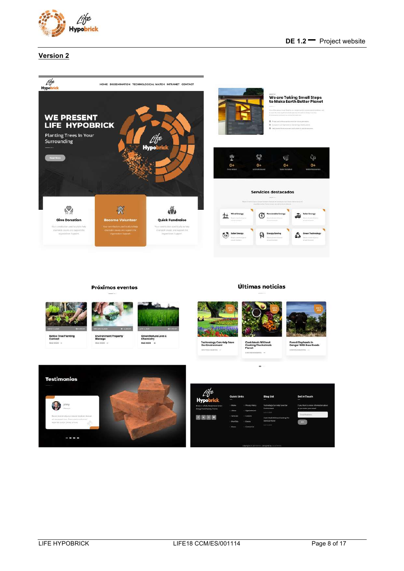

Últimas noticias



#### **Version 2**



#### Native Tree Planting<br>Contest Environment Property<br>Manage Green Nature Love &<br>Chemistry<br>BRAD MORE lp Save Cook Moals Without<br>Cooking The Animals<br>Planet Forest Elephan<br>Danger With N Techi<br>Our E logy Can ä **Testimonios Blog List** johny **MEINE**

Próximos eventos

 $-100$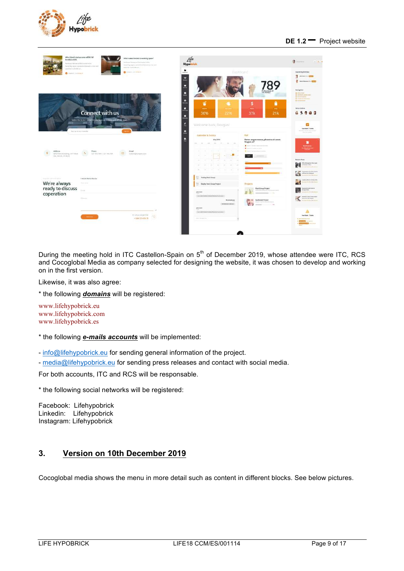



During the meeting hold in ITC Castellon-Spain on 5<sup>th</sup> of December 2019, whose attendee were ITC, RCS and Cocoglobal Media as company selected for designing the website, it was chosen to develop and working on in the first version.

Likewise, it was also agree:

\* the following *domains* will be registered:

www.lifehypobrick.eu www.lifehypobrick.com www.lifehypobrick.es

\* the following *e-mails accounts* will be implemented:

- info@lifehypobrick.eu for sending general information of the project.

- media@lifehypobrick.eu for sending press releases and contact with social media.

For both accounts, ITC and RCS will be responsable.

\* the following social networks will be registered:

Facebook: Lifehypobrick Linkedin: Lifehypobrick Instagram: Lifehypobrick

#### **3. Version on 10th December 2019**

Cocoglobal media shows the menu in more detail such as content in different blocks. See below pictures.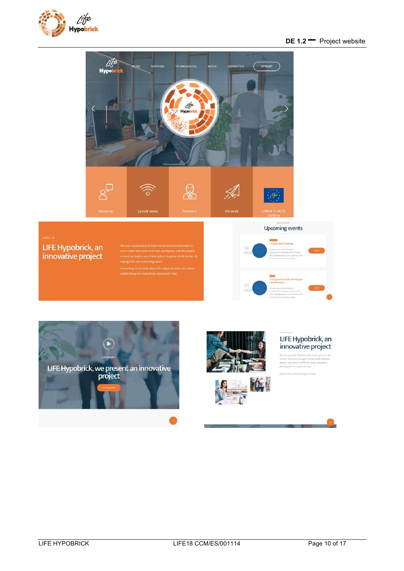

#### **DE 1.2 –** Project website



#### LIFE Hypobrick, an innovative project

**Upcoming events** 









 $\label{eq:1} \begin{split} \text{We are proved of what we have some up to at our event,}\\ \text{centered only been you get to unique with relatedness,}\\ \text{power to different areas, degenerate,}\\ \text{photongroper,, magnoess set.} \end{split}$ 

Learn more about joining us'to

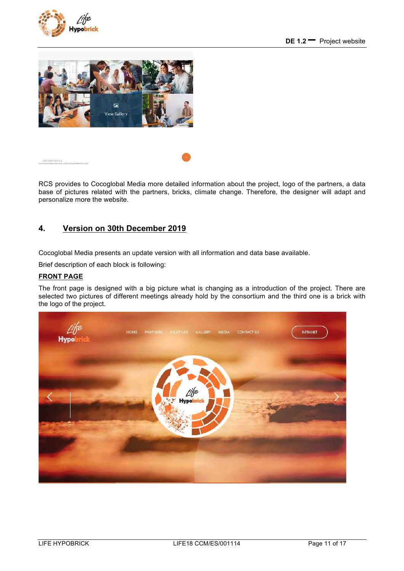





RCS provides to Cocoglobal Media more detailed information about the project, logo of the partners, a data base of pictures related with the partners, bricks, climate change. Therefore, the designer will adapt and personalize more the website.

#### **4. Version on 30th December 2019**

Cocoglobal Media presents an update version with all information and data base available.

Brief description of each block is following:

#### **FRONT PAGE**

The front page is designed with a big picture what is changing as a introduction of the project. There are selected two pictures of different meetings already hold by the consortium and the third one is a brick with the logo of the project.

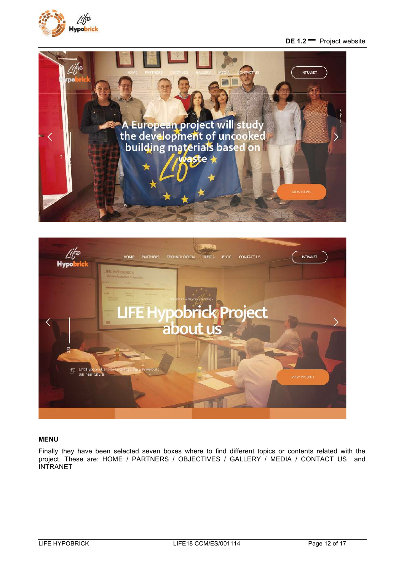

#### **DE 1.2 –** Project website





#### **MENU**

Finally they have been selected seven boxes where to find different topics or contents related with the project. These are: HOME / PARTNERS / OBJECTIVES / GALLERY / MEDIA / CONTACT US and **INTRANET**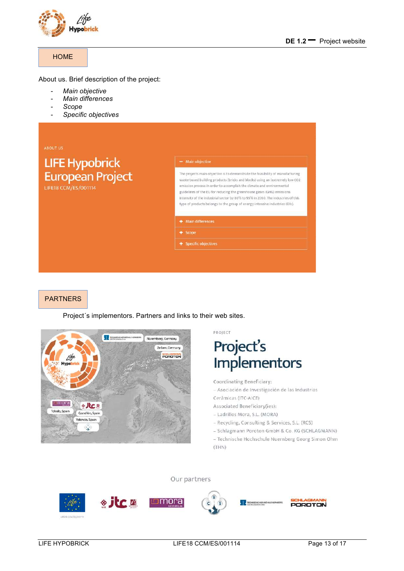

#### **HOME**

About us. Brief description of the project:

- *Main objective*
- *Main differences*
- *Scope*
- *Specific objectives*

|                                                                   | $-$ Main objective                                                                                                                                                                                                                                                                                                                                                                                                                                                                     |  |
|-------------------------------------------------------------------|----------------------------------------------------------------------------------------------------------------------------------------------------------------------------------------------------------------------------------------------------------------------------------------------------------------------------------------------------------------------------------------------------------------------------------------------------------------------------------------|--|
| LIFE Hypobrick<br>European Project<br><b>LIFE18 CCM/ES/001114</b> | The projects main objective is to demonstrate the feasibility of manufacturing<br>waste-based building products (bricks and blocks) using an (extremely low CO2<br>emission process in order to accomplish the climate and environmental<br>guidelines of the EU for reducing the greenhouse gases (GHG) emissions<br>intensity of the industrial sector by 80% to 95% in 2050. The industries of this<br>type of products belongs to the group of energy-intensive industries (EIIs). |  |
|                                                                   | + Main differences                                                                                                                                                                                                                                                                                                                                                                                                                                                                     |  |
|                                                                   | $+$ Scope                                                                                                                                                                                                                                                                                                                                                                                                                                                                              |  |
|                                                                   | + Specific objectives                                                                                                                                                                                                                                                                                                                                                                                                                                                                  |  |

#### PARTNERS

Project´s implementors. Partners and links to their web sites.



PROJECT

# Project's<br>Implementors

Coordinating Beneficiary:

- Asociación de Investigación de las Industrias Cerámicas (ITC-AICE)

Associated Beneficiary(ies):

- Ladrillos Mora, S.L. (MORA)

- Recycling, Consulting & Services, S.L. (RCS)

- Schlagmann Poroton GmbH & Co. KG (SCHLAGMANN)

- Technische Hochschule Nuernberg Georg Simon Ohm  $(THN)$ 

Our partners

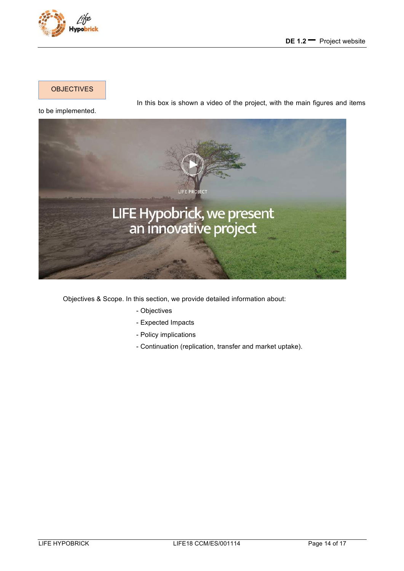

**OBJECTIVES** 

In this box is shown a video of the project, with the main figures and items



Objectives & Scope. In this section, we provide detailed information about:

- Objectives
- Expected Impacts
- Policy implications
- Continuation (replication, transfer and market uptake).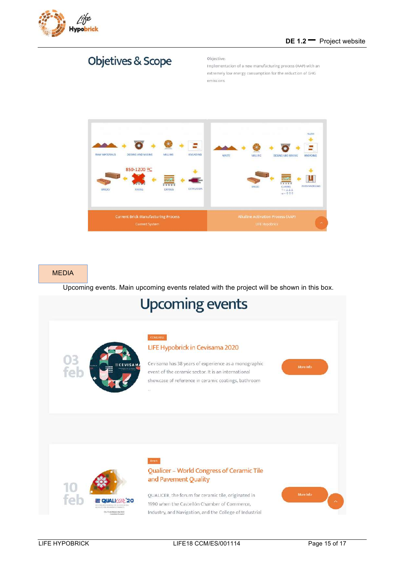

## **Objetives & Scope**

#### Objective:

Implementation of a new manufacturing process (AAP) with an extremely low energy consumption for the reduction of GHG emissions



#### MEDIA

Upcoming events. Main upcoming events related with the project will be shown in this box.

# **Upcoming events**

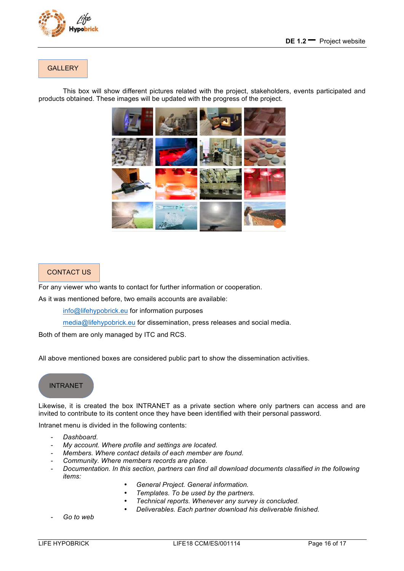

#### **GALLERY**

This box will show different pictures related with the project, stakeholders, events participated and products obtained. These images will be updated with the progress of the project.



#### CONTACT US

For any viewer who wants to contact for further information or cooperation.

As it was mentioned before, two emails accounts are available:

info@lifehypobrick.eu for information purposes

media@lifehypobrick.eu for dissemination, press releases and social media.

Both of them are only managed by ITC and RCS.

All above mentioned boxes are considered public part to show the dissemination activities.

#### INTRANET

Likewise, it is created the box INTRANET as a private section where only partners can access and are invited to contribute to its content once they have been identified with their personal password.

Intranet menu is divided in the following contents:

- *Dashboard.*
- My account. Where profile and settings are located.
- *Members. Where contact details of each member are found.*
- *Community. Where members records are place.*
- *Documentation. In this section, partners can find all download documents classified in the following items:* 
	- *General Project. General information.*
	- *Templates. To be used by the partners.*
	- *Technical reports. Whenever any survey is concluded.*
	- *Deliverables. Each partner download his deliverable finished.*
- Go to web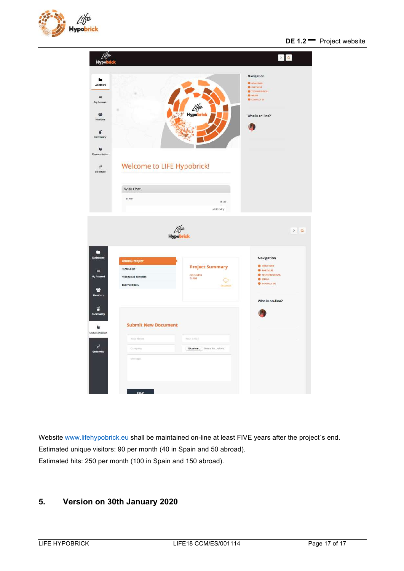



Website www.lifehypobrick.eu shall be maintained on-line at least FIVE years after the project´s end. Estimated unique visitors: 90 per month (40 in Spain and 50 abroad). Estimated hits: 250 per month (100 in Spain and 150 abroad).

#### **5. Version on 30th January 2020**